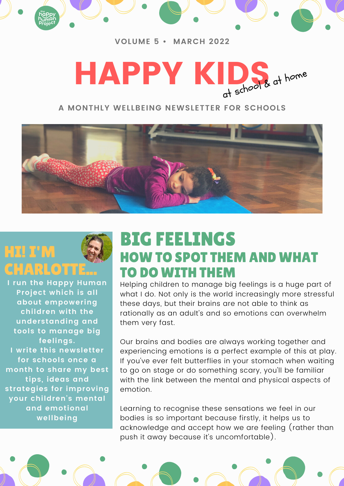

#### **VOLUME 5 • MARCH 2022**



### **A MONTHLY WELLBEING NEWSLETTER FOR SCHOOLS**



# HI! I'M **ARLOTTE**

**I run the Happy Human Project which is all about empowering children with the understanding and tools to manage big feelings. I write this newsletter for schools once a month to share my best tips, ideas and strategies for improving your children's mental and emotional wellbeing**

## BIG FEELINGS HOW TO SPOT THEM AND WHAT TO DO WITH THEM

Helping children to manage big feelings is a huge part of what I do. Not only is the world increasingly more stressful these days, but their brains are not able to think as rationally as an adult's and so emotions can overwhelm them very fast.

Our brains and bodies are always working together and experiencing emotions is a perfect example of this at play. If you've ever felt butterflies in your stomach when waiting to go on stage or do something scary, you'll be familiar with the link between the mental and physical aspects of emotion.

Learning to recognise these sensations we feel in our bodies is so important because firstly, it helps us to acknowledge and accept how we are feeling (rather than push it away because it's uncomfortable).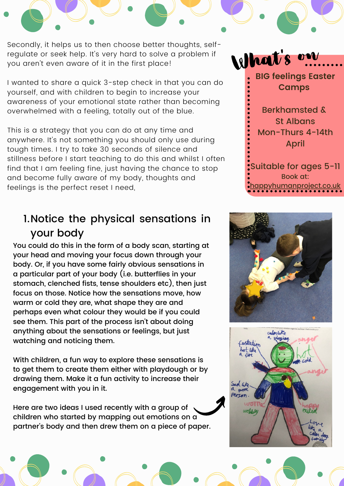Secondly, it helps us to then choose better thoughts, selfregulate or seek help. It's very hard to solve a problem if you aren't even aware of it in the first place!

I wanted to share a quick 3-step check in that you can do yourself, and with children to begin to increase your awareness of your emotional state rather than becoming overwhelmed with a feeling, totally out of the blue.

This is a strategy that you can do at any time and anywhere. It's not something you should only use during tough times. I try to take 30 seconds of silence and stillness before I start teaching to do this and whilst I often find that I am feeling fine, just having the chance to stop and become fully aware of my body, thoughts and feelings is the perfect reset I need,

### 1.Notice the physical sensations in your body

You could do this in the form of a body scan, starting at your head and moving your focus down through your body. Or, if you have some fairly obvious sensations in a particular part of your body (i.e. butterflies in your stomach, clenched fists, tense shoulders etc), then just focus on those. Notice how the sensations move, how warm or cold they are, what shape they are and perhaps even what colour they would be if you could see them. This part of the process isn't about doing anything about the sensations or feelings, but just watching and noticing them.

With children, a fun way to explore these sensations is to get them to create them either with playdough or by drawing them. Make it a fun activity to increase their engagement with you in it.

Here are two ideas I used recently with a group of children who started by mapping out emotions on a partner's body and then drew them on a piece of paper.